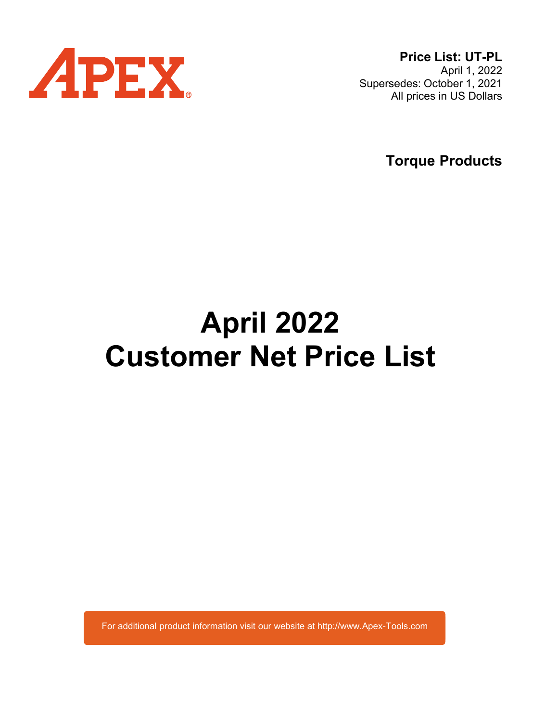

Price List: UT-PL April 1, 2022 Supersedes: October 1, 2021 All prices in US Dollars

Torque Products

# April 2022 Customer Net Price List

For additional product information visit our website at http://www.Apex-Tools.com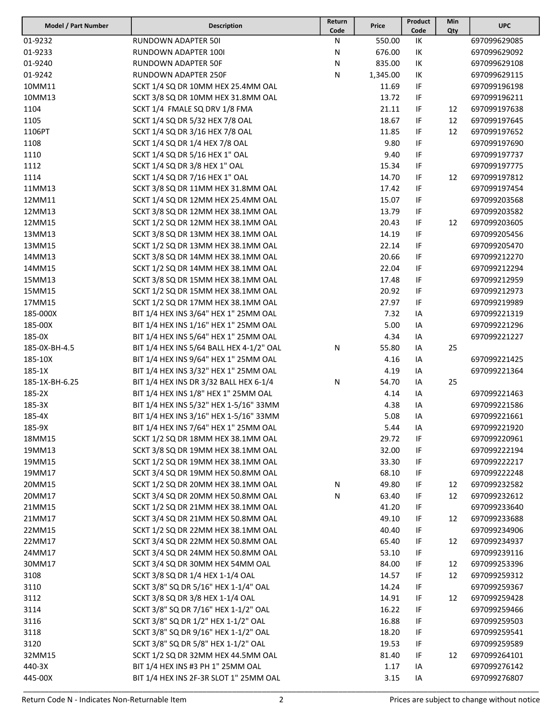| Model / Part Number | <b>Description</b>                       | Return | Price    | Product | Min | <b>UPC</b>   |
|---------------------|------------------------------------------|--------|----------|---------|-----|--------------|
|                     |                                          | Code   |          | Code    | Qty |              |
| 01-9232             | <b>RUNDOWN ADAPTER 50I</b>               | N      | 550.00   | IK      |     | 697099629085 |
| 01-9233             | RUNDOWN ADAPTER 1001                     | N      | 676.00   | IK      |     | 697099629092 |
| 01-9240             | RUNDOWN ADAPTER 50F                      | N      | 835.00   | IK      |     | 697099629108 |
| 01-9242             | RUNDOWN ADAPTER 250F                     | N      | 1,345.00 | IK      |     | 697099629115 |
| 10MM11              | SCKT 1/4 SQ DR 10MM HEX 25.4MM OAL       |        | 11.69    | IF      |     | 697099196198 |
| 10MM13              | SCKT 3/8 SQ DR 10MM HEX 31.8MM OAL       |        | 13.72    | IF      |     | 697099196211 |
| 1104                | SCKT 1/4 FMALE SQ DRV 1/8 FMA            |        | 21.11    | IF      | 12  | 697099197638 |
| 1105                | SCKT 1/4 SQ DR 5/32 HEX 7/8 OAL          |        | 18.67    | IF      | 12  | 697099197645 |
| 1106PT              | SCKT 1/4 SQ DR 3/16 HEX 7/8 OAL          |        | 11.85    | IF      | 12  | 697099197652 |
| 1108                | SCKT 1/4 SQ DR 1/4 HEX 7/8 OAL           |        | 9.80     | IF      |     | 697099197690 |
| 1110                | SCKT 1/4 SQ DR 5/16 HEX 1" OAL           |        | 9.40     | IF      |     | 697099197737 |
| 1112                | SCKT 1/4 SQ DR 3/8 HEX 1" OAL            |        | 15.34    | IF      |     | 697099197775 |
| 1114                | SCKT 1/4 SQ DR 7/16 HEX 1" OAL           |        | 14.70    | IF      | 12  | 697099197812 |
| 11MM13              | SCKT 3/8 SQ DR 11MM HEX 31.8MM OAL       |        | 17.42    | IF      |     | 697099197454 |
| 12MM11              | SCKT 1/4 SQ DR 12MM HEX 25.4MM OAL       |        | 15.07    | IF      |     | 697099203568 |
| 12MM13              | SCKT 3/8 SQ DR 12MM HEX 38.1MM OAL       |        | 13.79    | IF      |     | 697099203582 |
| 12MM15              | SCKT 1/2 SQ DR 12MM HEX 38.1MM OAL       |        | 20.43    | IF      | 12  | 697099203605 |
| 13MM13              | SCKT 3/8 SQ DR 13MM HEX 38.1MM OAL       |        | 14.19    | IF      |     | 697099205456 |
| 13MM15              | SCKT 1/2 SQ DR 13MM HEX 38.1MM OAL       |        | 22.14    | IF      |     | 697099205470 |
| 14MM13              | SCKT 3/8 SQ DR 14MM HEX 38.1MM OAL       |        | 20.66    | IF      |     | 697099212270 |
| 14MM15              | SCKT 1/2 SQ DR 14MM HEX 38.1MM OAL       |        | 22.04    | IF      |     | 697099212294 |
| 15MM13              | SCKT 3/8 SQ DR 15MM HEX 38.1MM OAL       |        | 17.48    | IF      |     | 697099212959 |
| 15MM15              | SCKT 1/2 SQ DR 15MM HEX 38.1MM OAL       |        | 20.92    | IF      |     | 697099212973 |
| 17MM15              | SCKT 1/2 SQ DR 17MM HEX 38.1MM OAL       |        | 27.97    | IF      |     | 697099219989 |
| 185-000X            | BIT 1/4 HEX INS 3/64" HEX 1" 25MM OAL    |        | 7.32     | IA      |     | 697099221319 |
| 185-00X             | BIT 1/4 HEX INS 1/16" HEX 1" 25MM OAL    |        | 5.00     | IA      |     | 697099221296 |
| 185-0X              | BIT 1/4 HEX INS 5/64" HEX 1" 25MM OAL    |        | 4.34     | IA      |     | 697099221227 |
| 185-0X-BH-4.5       | BIT 1/4 HEX INS 5/64 BALL HEX 4-1/2" OAL | N      | 55.80    | IA      | 25  |              |
| 185-10X             | BIT 1/4 HEX INS 9/64" HEX 1" 25MM OAL    |        | 4.16     | IA      |     | 697099221425 |
| 185-1X              | BIT 1/4 HEX INS 3/32" HEX 1" 25MM OAL    |        | 4.19     | IA      |     | 697099221364 |
| 185-1X-BH-6.25      | BIT 1/4 HEX INS DR 3/32 BALL HEX 6-1/4   | N      | 54.70    | IA      | 25  |              |
| 185-2X              | BIT 1/4 HEX INS 1/8" HEX 1" 25MM OAL     |        | 4.14     | IA      |     | 697099221463 |
| 185-3X              | BIT 1/4 HEX INS 5/32" HEX 1-5/16" 33MM   |        | 4.38     | IA      |     | 697099221586 |
| 185-4X              | BIT 1/4 HEX INS 3/16" HEX 1-5/16" 33MM   |        | 5.08     | IA      |     | 697099221661 |
| 185-9X              | BIT 1/4 HEX INS 7/64" HEX 1" 25MM OAL    |        | 5.44     | IA      |     | 697099221920 |
| 18MM15              | SCKT 1/2 SQ DR 18MM HEX 38.1MM OAL       |        | 29.72    | IF      |     | 697099220961 |
| 19MM13              | SCKT 3/8 SQ DR 19MM HEX 38.1MM OAL       |        | 32.00    | IF      |     | 697099222194 |
| 19MM15              | SCKT 1/2 SQ DR 19MM HEX 38.1MM OAL       |        | 33.30    | IF      |     | 697099222217 |
| 19MM17              | SCKT 3/4 SQ DR 19MM HEX 50.8MM OAL       |        | 68.10    | IF      |     | 697099222248 |
| 20MM15              | SCKT 1/2 SQ DR 20MM HEX 38.1MM OAL       | N      | 49.80    | IF      | 12  | 697099232582 |
| 20MM17              | SCKT 3/4 SQ DR 20MM HEX 50.8MM OAL       | N      | 63.40    | IF      | 12  | 697099232612 |
| 21MM15              | SCKT 1/2 SQ DR 21MM HEX 38.1MM OAL       |        | 41.20    | IF      |     | 697099233640 |
| 21MM17              | SCKT 3/4 SQ DR 21MM HEX 50.8MM OAL       |        | 49.10    | IF      | 12  | 697099233688 |
| 22MM15              | SCKT 1/2 SQ DR 22MM HEX 38.1MM OAL       |        | 40.40    | IF      |     | 697099234906 |
| 22MM17              | SCKT 3/4 SQ DR 22MM HEX 50.8MM OAL       |        | 65.40    | IF      | 12  | 697099234937 |
| 24MM17              | SCKT 3/4 SQ DR 24MM HEX 50.8MM OAL       |        | 53.10    | IF      |     | 697099239116 |
| 30MM17              | SCKT 3/4 SQ DR 30MM HEX 54MM OAL         |        | 84.00    | IF      | 12  | 697099253396 |
| 3108                | SCKT 3/8 SQ DR 1/4 HEX 1-1/4 OAL         |        | 14.57    | IF      | 12  | 697099259312 |
| 3110                | SCKT 3/8" SQ DR 5/16" HEX 1-1/4" OAL     |        | 14.24    | IF      |     | 697099259367 |
| 3112                | SCKT 3/8 SQ DR 3/8 HEX 1-1/4 OAL         |        | 14.91    | IF      | 12  | 697099259428 |
| 3114                | SCKT 3/8" SQ DR 7/16" HEX 1-1/2" OAL     |        | 16.22    | IF      |     | 697099259466 |
| 3116                | SCKT 3/8" SQ DR 1/2" HEX 1-1/2" OAL      |        | 16.88    | IF      |     | 697099259503 |
| 3118                | SCKT 3/8" SQ DR 9/16" HEX 1-1/2" OAL     |        | 18.20    | IF      |     | 697099259541 |
| 3120                | SCKT 3/8" SQ DR 5/8" HEX 1-1/2" OAL      |        | 19.53    | IF      |     | 697099259589 |
| 32MM15              | SCKT 1/2 SQ DR 32MM HEX 44.5MM OAL       |        | 81.40    | IF      | 12  | 697099264101 |
| 440-3X              | BIT 1/4 HEX INS #3 PH 1" 25MM OAL        |        | 1.17     | IA      |     | 697099276142 |
| 445-00X             | BIT 1/4 HEX INS 2F-3R SLOT 1" 25MM OAL   |        | 3.15     | IA      |     | 697099276807 |
|                     |                                          |        |          |         |     |              |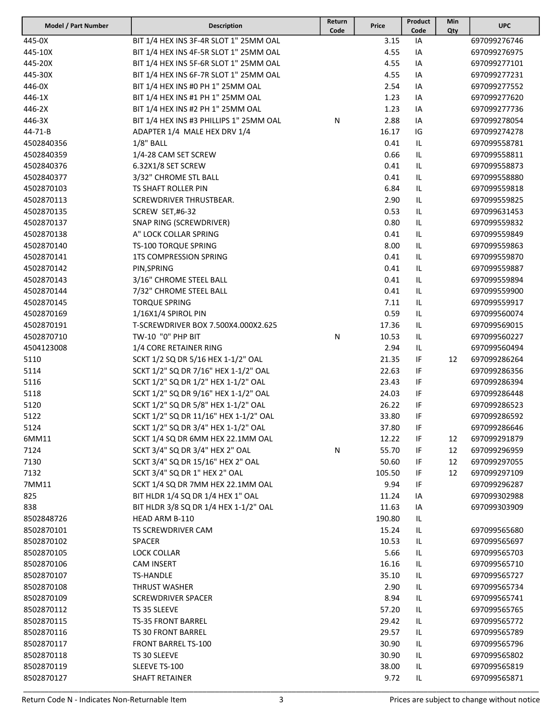| Model / Part Number | <b>Description</b>                      | Return<br>Code | Price  | Product<br>Code | Min<br>Qty | <b>UPC</b>   |
|---------------------|-----------------------------------------|----------------|--------|-----------------|------------|--------------|
| 445-0X              | BIT 1/4 HEX INS 3F-4R SLOT 1" 25MM OAL  |                | 3.15   | IA              |            | 697099276746 |
| 445-10X             | BIT 1/4 HEX INS 4F-5R SLOT 1" 25MM OAL  |                | 4.55   | IA              |            | 697099276975 |
| 445-20X             | BIT 1/4 HEX INS 5F-6R SLOT 1" 25MM OAL  |                | 4.55   | IA              |            | 697099277101 |
| 445-30X             | BIT 1/4 HEX INS 6F-7R SLOT 1" 25MM OAL  |                | 4.55   | IA              |            | 697099277231 |
| 446-0X              | BIT 1/4 HEX INS #0 PH 1" 25MM OAL       |                | 2.54   | IA              |            | 697099277552 |
| 446-1X              | BIT 1/4 HEX INS #1 PH 1" 25MM OAL       |                | 1.23   | IA              |            | 697099277620 |
| 446-2X              | BIT 1/4 HEX INS #2 PH 1" 25MM OAL       |                | 1.23   | IA              |            | 697099277736 |
| 446-3X              | BIT 1/4 HEX INS #3 PHILLIPS 1" 25MM OAL | Ν              | 2.88   | IA              |            | 697099278054 |
| 44-71-B             | ADAPTER 1/4 MALE HEX DRV 1/4            |                | 16.17  | IG              |            | 697099274278 |
| 4502840356          | $1/8$ " BALL                            |                | 0.41   | IL              |            | 697099558781 |
| 4502840359          | 1/4-28 CAM SET SCREW                    |                | 0.66   | IL              |            | 697099558811 |
| 4502840376          | 6.32X1/8 SET SCREW                      |                | 0.41   | IL              |            | 697099558873 |
| 4502840377          | 3/32" CHROME STL BALL                   |                | 0.41   | IL              |            | 697099558880 |
| 4502870103          | TS SHAFT ROLLER PIN                     |                | 6.84   | IL              |            | 697099559818 |
| 4502870113          | SCREWDRIVER THRUSTBEAR.                 |                | 2.90   | IL              |            | 697099559825 |
| 4502870135          | SCREW SET,#6-32                         |                | 0.53   | IL              |            | 697099631453 |
| 4502870137          | SNAP RING (SCREWDRIVER)                 |                | 0.80   | IL              |            | 697099559832 |
| 4502870138          | A" LOCK COLLAR SPRING                   |                | 0.41   | IL              |            | 697099559849 |
| 4502870140          | TS-100 TORQUE SPRING                    |                | 8.00   | $\sf IL$        |            | 697099559863 |
| 4502870141          | <b>1TS COMPRESSION SPRING</b>           |                | 0.41   | IL              |            | 697099559870 |
| 4502870142          | PIN, SPRING                             |                | 0.41   | IL              |            | 697099559887 |
| 4502870143          | 3/16" CHROME STEEL BALL                 |                | 0.41   | IL              |            | 697099559894 |
| 4502870144          | 7/32" CHROME STEEL BALL                 |                | 0.41   | IL              |            | 697099559900 |
| 4502870145          | <b>TORQUE SPRING</b>                    |                | 7.11   | IL              |            | 697099559917 |
| 4502870169          | 1/16X1/4 SPIROL PIN                     |                | 0.59   | IL              |            | 697099560074 |
| 4502870191          | T-SCREWDRIVER BOX 7.500X4.000X2.625     |                | 17.36  | IL              |            | 697099569015 |
| 4502870710          | TW-10 "0" PHP BIT                       | $\mathsf{N}$   | 10.53  | IL              |            | 697099560227 |
| 4504123008          | 1/4 CORE RETAINER RING                  |                | 2.94   | IL              |            | 697099560494 |
| 5110                | SCKT 1/2 SQ DR 5/16 HEX 1-1/2" OAL      |                | 21.35  | IF              | 12         | 697099286264 |
| 5114                | SCKT 1/2" SQ DR 7/16" HEX 1-1/2" OAL    |                | 22.63  | IF              |            | 697099286356 |
| 5116                | SCKT 1/2" SQ DR 1/2" HEX 1-1/2" OAL     |                | 23.43  | IF              |            | 697099286394 |
| 5118                | SCKT 1/2" SQ DR 9/16" HEX 1-1/2" OAL    |                | 24.03  | IF              |            | 697099286448 |
| 5120                | SCKT 1/2" SQ DR 5/8" HEX 1-1/2" OAL     |                | 26.22  | IF              |            | 697099286523 |
| 5122                | SCKT 1/2" SQ DR 11/16" HEX 1-1/2" OAL   |                | 33.80  | IF              |            | 697099286592 |
| 5124                | SCKT 1/2" SQ DR 3/4" HEX 1-1/2" OAL     |                | 37.80  | IF              |            | 697099286646 |
| 6MM11               | SCKT 1/4 SQ DR 6MM HEX 22.1MM OAL       |                | 12.22  | IF              | 12         | 697099291879 |
| 7124                | SCKT 3/4" SQ DR 3/4" HEX 2" OAL         | N              | 55.70  | IF              | 12         | 697099296959 |
| 7130                | SCKT 3/4" SQ DR 15/16" HEX 2" OAL       |                | 50.60  | IF              | 12         | 697099297055 |
| 7132                | SCKT 3/4" SQ DR 1" HEX 2" OAL           |                | 105.50 | IF              | 12         | 697099297109 |
| 7MM11               | SCKT 1/4 SQ DR 7MM HEX 22.1MM OAL       |                | 9.94   | IF              |            | 697099296287 |
| 825                 | BIT HLDR 1/4 SQ DR 1/4 HEX 1" OAL       |                | 11.24  | IA              |            | 697099302988 |
| 838                 | BIT HLDR 3/8 SQ DR 1/4 HEX 1-1/2" OAL   |                | 11.63  | IA              |            | 697099303909 |
| 8502848726          | HEAD ARM B-110                          |                | 190.80 | IL              |            |              |
| 8502870101          | TS SCREWDRIVER CAM                      |                | 15.24  | IL              |            | 697099565680 |
| 8502870102          | <b>SPACER</b>                           |                | 10.53  | IL              |            | 697099565697 |
| 8502870105          | <b>LOCK COLLAR</b>                      |                | 5.66   | IL              |            | 697099565703 |
| 8502870106          | <b>CAM INSERT</b>                       |                | 16.16  | IL              |            | 697099565710 |
| 8502870107          | <b>TS-HANDLE</b>                        |                | 35.10  | IL              |            | 697099565727 |
| 8502870108          | <b>THRUST WASHER</b>                    |                | 2.90   | IL              |            | 697099565734 |
| 8502870109          | <b>SCREWDRIVER SPACER</b>               |                | 8.94   | IL              |            | 697099565741 |
| 8502870112          | TS 35 SLEEVE                            |                | 57.20  | IL              |            | 697099565765 |
| 8502870115          | <b>TS-35 FRONT BARREL</b>               |                | 29.42  | IL              |            | 697099565772 |
| 8502870116          | TS 30 FRONT BARREL                      |                | 29.57  | IL              |            | 697099565789 |
| 8502870117          | <b>FRONT BARREL TS-100</b>              |                | 30.90  | IL              |            | 697099565796 |
| 8502870118          | TS 30 SLEEVE                            |                | 30.90  | IL              |            | 697099565802 |
| 8502870119          | SLEEVE TS-100                           |                | 38.00  | IL              |            | 697099565819 |
| 8502870127          | <b>SHAFT RETAINER</b>                   |                | 9.72   | IL              |            | 697099565871 |
|                     |                                         |                |        |                 |            |              |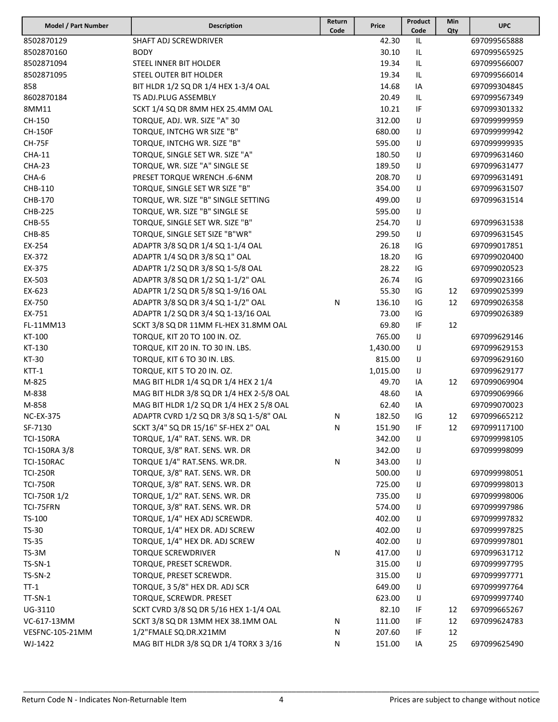| Model / Part Number | Description                              | Return<br>Code | Price    | Product<br>Code | Min<br>Qty | <b>UPC</b>   |
|---------------------|------------------------------------------|----------------|----------|-----------------|------------|--------------|
| 8502870129          | SHAFT ADJ SCREWDRIVER                    |                | 42.30    | IL              |            | 697099565888 |
| 8502870160          | BODY                                     |                | 30.10    | IL              |            | 697099565925 |
| 8502871094          | STEEL INNER BIT HOLDER                   |                | 19.34    | IL              |            | 697099566007 |
| 8502871095          | STEEL OUTER BIT HOLDER                   |                | 19.34    | IL.             |            | 697099566014 |
| 858                 | BIT HLDR 1/2 SQ DR 1/4 HEX 1-3/4 OAL     |                | 14.68    | IA              |            | 697099304845 |
| 8602870184          | TS ADJ.PLUG ASSEMBLY                     |                | 20.49    | IL              |            | 697099567349 |
| 8MM11               | SCKT 1/4 SQ DR 8MM HEX 25.4MM OAL        |                | 10.21    | IF              |            | 697099301332 |
| CH-150              | TORQUE, ADJ. WR. SIZE "A" 30             |                | 312.00   | IJ              |            | 697099999959 |
| <b>CH-150F</b>      | TORQUE, INTCHG WR SIZE "B"               |                | 680.00   | IJ              |            | 697099999942 |
| <b>CH-75F</b>       | TORQUE, INTCHG WR. SIZE "B"              |                | 595.00   | IJ              |            | 697099999935 |
| <b>CHA-11</b>       | TORQUE, SINGLE SET WR. SIZE "A"          |                | 180.50   | IJ              |            | 697099631460 |
| <b>CHA-23</b>       | TORQUE, WR. SIZE "A" SINGLE SE           |                | 189.50   | IJ              |            | 697099631477 |
| CHA-6               | PRESET TORQUE WRENCH .6-6NM              |                | 208.70   | IJ              |            | 697099631491 |
| CHB-110             | TORQUE, SINGLE SET WR SIZE "B"           |                | 354.00   | IJ              |            | 697099631507 |
| CHB-170             | TORQUE, WR. SIZE "B" SINGLE SETTING      |                | 499.00   | IJ              |            | 697099631514 |
| <b>CHB-225</b>      | TORQUE, WR. SIZE "B" SINGLE SE           |                | 595.00   | IJ              |            |              |
| <b>CHB-55</b>       | TORQUE, SINGLE SET WR. SIZE "B"          |                | 254.70   | IJ              |            | 697099631538 |
| <b>CHB-85</b>       | TORQUE, SINGLE SET SIZE "B"WR"           |                | 299.50   | IJ              |            | 697099631545 |
| EX-254              | ADAPTR 3/8 SQ DR 1/4 SQ 1-1/4 OAL        |                | 26.18    | IG              |            | 697099017851 |
| EX-372              | ADAPTR 1/4 SQ DR 3/8 SQ 1" OAL           |                | 18.20    | IG              |            | 697099020400 |
| EX-375              | ADAPTR 1/2 SQ DR 3/8 SQ 1-5/8 OAL        |                | 28.22    | IG              |            | 697099020523 |
| EX-503              | ADAPTR 3/8 SQ DR 1/2 SQ 1-1/2" OAL       |                | 26.74    | IG              |            | 697099023166 |
| EX-623              | ADAPTR 1/2 SQ DR 5/8 SQ 1-9/16 OAL       |                | 55.30    | IG              | 12         | 697099025399 |
| EX-750              | ADAPTR 3/8 SQ DR 3/4 SQ 1-1/2" OAL       | N              | 136.10   | IG              | 12         | 697099026358 |
| EX-751              | ADAPTR 1/2 SQ DR 3/4 SQ 1-13/16 OAL      |                | 73.00    | IG              |            | 697099026389 |
| FL-11MM13           | SCKT 3/8 SQ DR 11MM FL-HEX 31.8MM OAL    |                | 69.80    | IF              | 12         |              |
| KT-100              | TORQUE, KIT 20 TO 100 IN. OZ.            |                | 765.00   | IJ              |            | 697099629146 |
| KT-130              | TORQUE, KIT 20 IN. TO 30 IN. LBS.        |                | 1,430.00 | IJ              |            | 697099629153 |
| KT-30               | TORQUE, KIT 6 TO 30 IN. LBS.             |                | 815.00   | IJ              |            | 697099629160 |
| KTT-1               | TORQUE, KIT 5 TO 20 IN. OZ.              |                | 1,015.00 | IJ              |            | 697099629177 |
| M-825               | MAG BIT HLDR 1/4 SQ DR 1/4 HEX 2 1/4     |                | 49.70    | IA              | 12         | 697099069904 |
| M-838               | MAG BIT HLDR 3/8 SQ DR 1/4 HEX 2-5/8 OAL |                | 48.60    | IA              |            | 697099069966 |
| M-858               | MAG BIT HLDR 1/2 SQ DR 1/4 HEX 2 5/8 OAL |                | 62.40    | IA              |            | 697099070023 |
| <b>NC-EX-375</b>    | ADAPTR CVRD 1/2 SQ DR 3/8 SQ 1-5/8" OAL  | N              | 182.50   | IG              | 12         | 697099665212 |
| SF-7130             | SCKT 3/4" SQ DR 15/16" SF-HEX 2" OAL     | N              | 151.90   | IF              | 12         | 697099117100 |
| <b>TCI-150RA</b>    | TORQUE, 1/4" RAT. SENS. WR. DR           |                | 342.00   | IJ              |            | 697099998105 |
| TCI-150RA 3/8       | TORQUE, 3/8" RAT. SENS. WR. DR           |                | 342.00   | IJ              |            | 697099998099 |
| TCI-150RAC          | TORQUE 1/4" RAT.SENS. WR.DR.             | N              | 343.00   | IJ              |            |              |
| <b>TCI-250R</b>     | TORQUE, 3/8" RAT. SENS. WR. DR           |                | 500.00   | IJ              |            | 697099998051 |
| <b>TCI-750R</b>     | TORQUE, 3/8" RAT. SENS. WR. DR           |                | 725.00   | IJ              |            | 697099998013 |
| TCI-750R 1/2        | TORQUE, 1/2" RAT. SENS. WR. DR           |                | 735.00   | IJ              |            | 697099998006 |
| TCI-75FRN           | TORQUE, 3/8" RAT. SENS. WR. DR           |                | 574.00   | IJ              |            | 697099997986 |
| TS-100              | TORQUE, 1/4" HEX ADJ SCREWDR.            |                | 402.00   | IJ              |            | 697099997832 |
| TS-30               | TORQUE, 1/4" HEX DR. ADJ SCREW           |                | 402.00   | IJ              |            | 697099997825 |
| TS-35               | TORQUE, 1/4" HEX DR. ADJ SCREW           |                | 402.00   | IJ              |            | 697099997801 |
| TS-3M               | <b>TORQUE SCREWDRIVER</b>                | N              | 417.00   | IJ              |            | 697099631712 |
| TS-SN-1             | TORQUE, PRESET SCREWDR.                  |                | 315.00   | IJ              |            | 697099997795 |
| TS-SN-2             | TORQUE, PRESET SCREWDR.                  |                | 315.00   | IJ              |            | 697099997771 |
| $TT-1$              | TORQUE, 3 5/8" HEX DR. ADJ SCR           |                | 649.00   | IJ              |            | 697099997764 |
| TT-SN-1             | TORQUE, SCREWDR. PRESET                  |                | 623.00   | IJ              |            | 697099997740 |
| UG-3110             | SCKT CVRD 3/8 SQ DR 5/16 HEX 1-1/4 OAL   |                | 82.10    | IF              | 12         | 697099665267 |
| VC-617-13MM         | SCKT 3/8 SQ DR 13MM HEX 38.1MM OAL       | N              | 111.00   | IF              | 12         | 697099624783 |
| VESFNC-105-21MM     | 1/2"FMALE SQ.DR.X21MM                    | Ν              | 207.60   | IF              | 12         |              |
| WJ-1422             | MAG BIT HLDR 3/8 SQ DR 1/4 TORX 3 3/16   | N              | 151.00   | IA              | 25         | 697099625490 |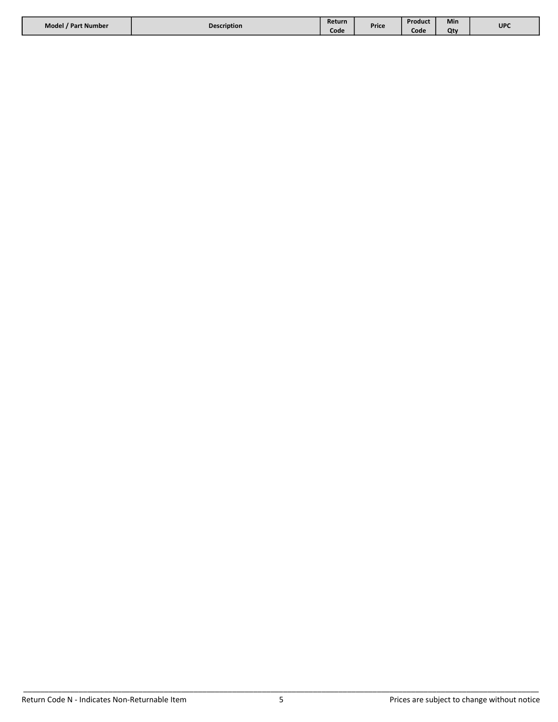| Model / Part Number | <b>Description</b> | Return |       | Product | Min | <b>UPC</b> |
|---------------------|--------------------|--------|-------|---------|-----|------------|
|                     |                    | Code   | Price | Code    | Otv |            |